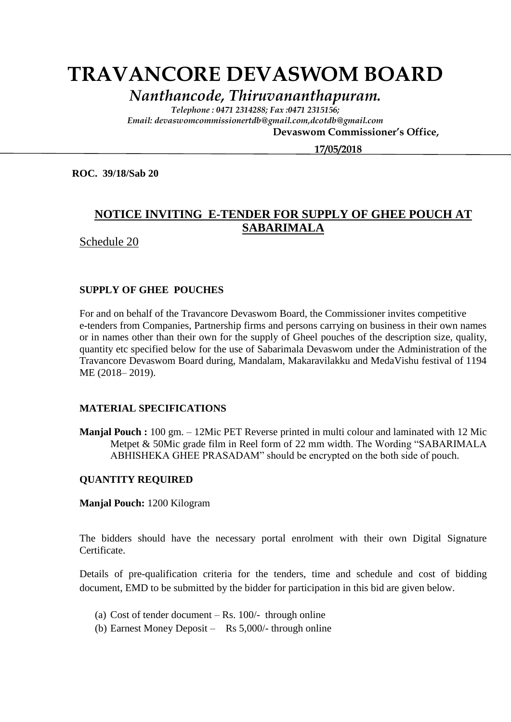# **TRAVANCORE DEVASWOM BOARD**

*Nanthancode, Thiruvananthapuram.*

*Telephone : 0471 2314288; Fax :0471 2315156; Email: devaswomcommissionertdb@gmail.com,dcotdb@gmail.com*

 **Devaswom Commissioner's Office,**

 **17/05/2018**

**ROC. 39/18/Sab 20**

## **NOTICE INVITING E-TENDER FOR SUPPLY OF GHEE POUCH AT SABARIMALA**

Schedule 20

#### **SUPPLY OF GHEE POUCHES**

For and on behalf of the Travancore Devaswom Board, the Commissioner invites competitive e-tenders from Companies, Partnership firms and persons carrying on business in their own names or in names other than their own for the supply of Gheel pouches of the description size, quality, quantity etc specified below for the use of Sabarimala Devaswom under the Administration of the Travancore Devaswom Board during, Mandalam, Makaravilakku and MedaVishu festival of 1194 ME (2018– 2019).

#### **MATERIAL SPECIFICATIONS**

**Manjal Pouch :** 100 gm. – 12Mic PET Reverse printed in multi colour and laminated with 12 Mic Metpet & 50Mic grade film in Reel form of 22 mm width. The Wording "SABARIMALA ABHISHEKA GHEE PRASADAM" should be encrypted on the both side of pouch.

#### **QUANTITY REQUIRED**

**Manjal Pouch:** 1200 Kilogram

The bidders should have the necessary portal enrolment with their own Digital Signature Certificate.

Details of pre-qualification criteria for the tenders, time and schedule and cost of bidding document, EMD to be submitted by the bidder for participation in this bid are given below.

- (a) Cost of tender document  $-Rs$ . 100/- through online
- (b) Earnest Money Deposit Rs 5,000/- through online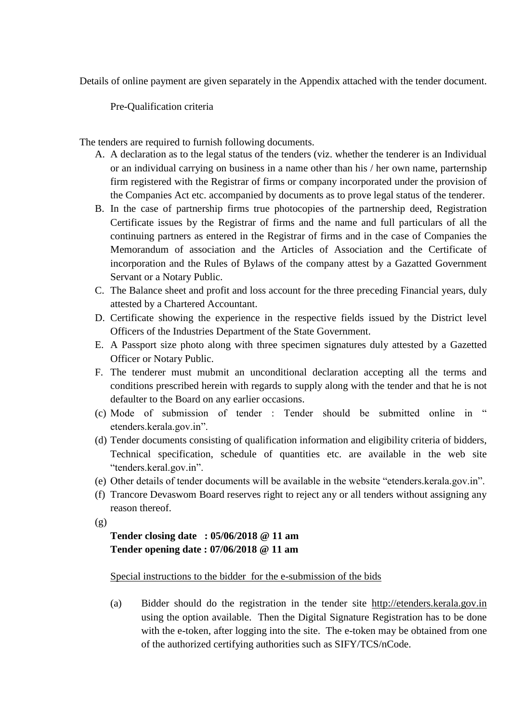Details of online payment are given separately in the Appendix attached with the tender document.

Pre-Qualification criteria

The tenders are required to furnish following documents.

- A. A declaration as to the legal status of the tenders (viz. whether the tenderer is an Individual or an individual carrying on business in a name other than his / her own name, parternship firm registered with the Registrar of firms or company incorporated under the provision of the Companies Act etc. accompanied by documents as to prove legal status of the tenderer.
- B. In the case of partnership firms true photocopies of the partnership deed, Registration Certificate issues by the Registrar of firms and the name and full particulars of all the continuing partners as entered in the Registrar of firms and in the case of Companies the Memorandum of association and the Articles of Association and the Certificate of incorporation and the Rules of Bylaws of the company attest by a Gazatted Government Servant or a Notary Public.
- C. The Balance sheet and profit and loss account for the three preceding Financial years, duly attested by a Chartered Accountant.
- D. Certificate showing the experience in the respective fields issued by the District level Officers of the Industries Department of the State Government.
- E. A Passport size photo along with three specimen signatures duly attested by a Gazetted Officer or Notary Public.
- F. The tenderer must mubmit an unconditional declaration accepting all the terms and conditions prescribed herein with regards to supply along with the tender and that he is not defaulter to the Board on any earlier occasions.
- (c) Mode of submission of tender : Tender should be submitted online in " etenders.kerala.gov.in".
- (d) Tender documents consisting of qualification information and eligibility criteria of bidders, Technical specification, schedule of quantities etc. are available in the web site "tenders.keral.gov.in".
- (e) Other details of tender documents will be available in the website "etenders.kerala.gov.in".
- (f) Trancore Devaswom Board reserves right to reject any or all tenders without assigning any reason thereof.
- $(g)$

## **Tender closing date : 05/06/2018 @ 11 am Tender opening date : 07/06/2018 @ 11 am**

#### Special instructions to the bidder for the e-submission of the bids

(a) Bidder should do the registration in the tender site http://etenders.kerala.gov.in using the option available. Then the Digital Signature Registration has to be done with the e-token, after logging into the site. The e-token may be obtained from one of the authorized certifying authorities such as SIFY/TCS/nCode.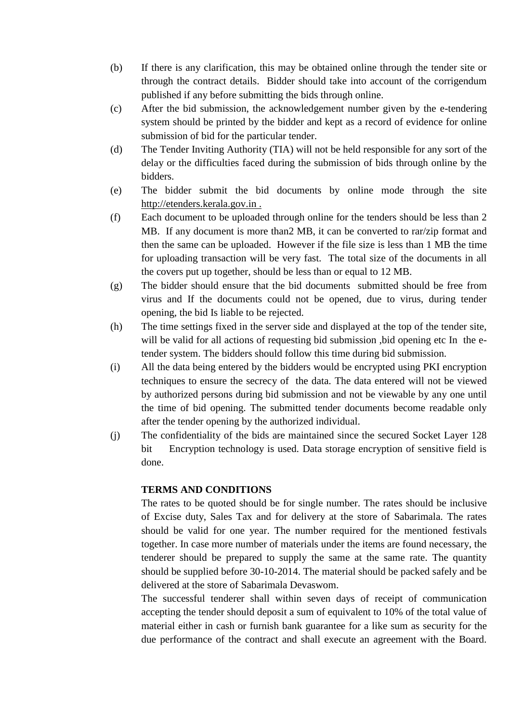- (b) If there is any clarification, this may be obtained online through the tender site or through the contract details. Bidder should take into account of the corrigendum published if any before submitting the bids through online.
- (c) After the bid submission, the acknowledgement number given by the e-tendering system should be printed by the bidder and kept as a record of evidence for online submission of bid for the particular tender.
- (d) The Tender Inviting Authority (TIA) will not be held responsible for any sort of the delay or the difficulties faced during the submission of bids through online by the bidders.
- (e) The bidder submit the bid documents by online mode through the site http://etenders.kerala.gov.in .
- (f) Each document to be uploaded through online for the tenders should be less than 2 MB. If any document is more than2 MB, it can be converted to rar/zip format and then the same can be uploaded. However if the file size is less than 1 MB the time for uploading transaction will be very fast. The total size of the documents in all the covers put up together, should be less than or equal to 12 MB.
- (g) The bidder should ensure that the bid documents submitted should be free from virus and If the documents could not be opened, due to virus, during tender opening, the bid Is liable to be rejected.
- (h) The time settings fixed in the server side and displayed at the top of the tender site, will be valid for all actions of requesting bid submission ,bid opening etc In the etender system. The bidders should follow this time during bid submission.
- (i) All the data being entered by the bidders would be encrypted using PKI encryption techniques to ensure the secrecy of the data. The data entered will not be viewed by authorized persons during bid submission and not be viewable by any one until the time of bid opening. The submitted tender documents become readable only after the tender opening by the authorized individual.
- (j) The confidentiality of the bids are maintained since the secured Socket Layer 128 bit Encryption technology is used. Data storage encryption of sensitive field is done.

### **TERMS AND CONDITIONS**

The rates to be quoted should be for single number. The rates should be inclusive of Excise duty, Sales Tax and for delivery at the store of Sabarimala. The rates should be valid for one year. The number required for the mentioned festivals together. In case more number of materials under the items are found necessary, the tenderer should be prepared to supply the same at the same rate. The quantity should be supplied before 30-10-2014. The material should be packed safely and be delivered at the store of Sabarimala Devaswom.

The successful tenderer shall within seven days of receipt of communication accepting the tender should deposit a sum of equivalent to 10% of the total value of material either in cash or furnish bank guarantee for a like sum as security for the due performance of the contract and shall execute an agreement with the Board.